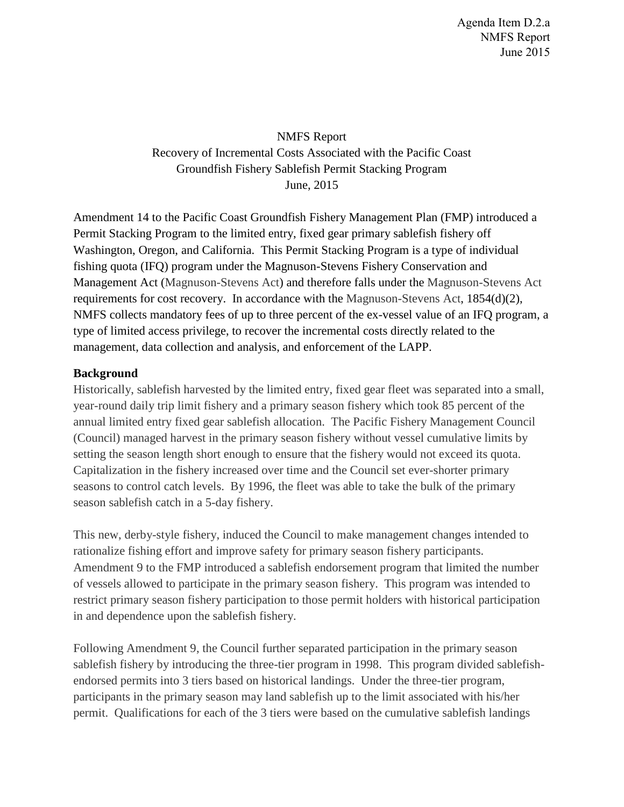NMFS Report Recovery of Incremental Costs Associated with the Pacific Coast Groundfish Fishery Sablefish Permit Stacking Program June, 2015

Amendment 14 to the Pacific Coast Groundfish Fishery Management Plan (FMP) introduced a Permit Stacking Program to the limited entry, fixed gear primary sablefish fishery off Washington, Oregon, and California. This Permit Stacking Program is a type of individual fishing quota (IFQ) program under the Magnuson-Stevens Fishery Conservation and Management Act (Magnuson-Stevens Act) and therefore falls under the Magnuson-Stevens Act requirements for cost recovery. In accordance with the Magnuson-Stevens Act, 1854(d)(2), NMFS collects mandatory fees of up to three percent of the ex-vessel value of an IFQ program, a type of limited access privilege, to recover the incremental costs directly related to the management, data collection and analysis, and enforcement of the LAPP.

## **Background**

Historically, sablefish harvested by the limited entry, fixed gear fleet was separated into a small, year-round daily trip limit fishery and a primary season fishery which took 85 percent of the annual limited entry fixed gear sablefish allocation. The Pacific Fishery Management Council (Council) managed harvest in the primary season fishery without vessel cumulative limits by setting the season length short enough to ensure that the fishery would not exceed its quota. Capitalization in the fishery increased over time and the Council set ever-shorter primary seasons to control catch levels. By 1996, the fleet was able to take the bulk of the primary season sablefish catch in a 5-day fishery.

This new, derby-style fishery, induced the Council to make management changes intended to rationalize fishing effort and improve safety for primary season fishery participants. Amendment 9 to the FMP introduced a sablefish endorsement program that limited the number of vessels allowed to participate in the primary season fishery. This program was intended to restrict primary season fishery participation to those permit holders with historical participation in and dependence upon the sablefish fishery.

Following Amendment 9, the Council further separated participation in the primary season sablefish fishery by introducing the three-tier program in 1998. This program divided sablefishendorsed permits into 3 tiers based on historical landings. Under the three-tier program, participants in the primary season may land sablefish up to the limit associated with his/her permit. Qualifications for each of the 3 tiers were based on the cumulative sablefish landings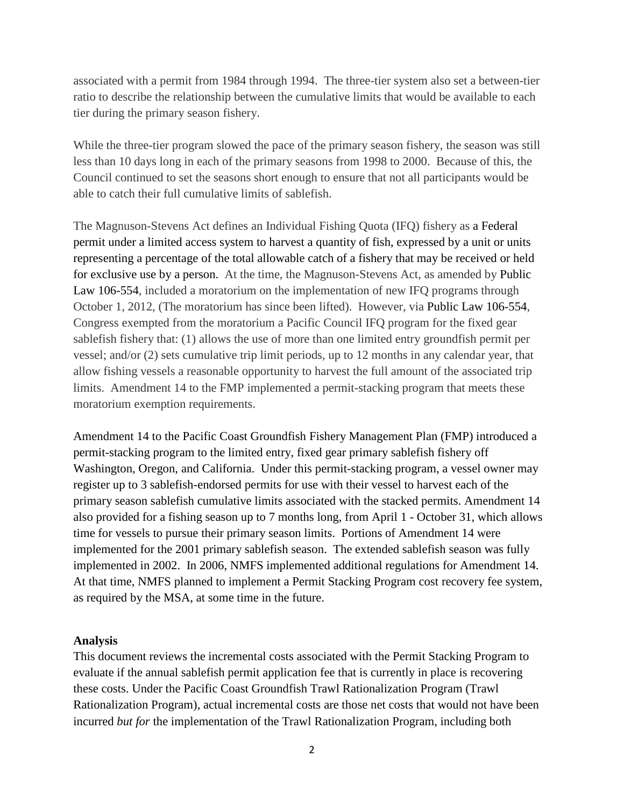associated with a permit from 1984 through 1994. The three-tier system also set a between-tier ratio to describe the relationship between the cumulative limits that would be available to each tier during the primary season fishery.

While the three-tier program slowed the pace of the primary season fishery, the season was still less than 10 days long in each of the primary seasons from 1998 to 2000. Because of this, the Council continued to set the seasons short enough to ensure that not all participants would be able to catch their full cumulative limits of sablefish.

The Magnuson-Stevens Act defines an Individual Fishing Quota (IFQ) fishery as a Federal permit under a limited access system to harvest a quantity of fish, expressed by a unit or units representing a percentage of the total allowable catch of a fishery that may be received or held for exclusive use by a person. At the time, the Magnuson-Stevens Act, as amended by Public Law 106-554, included a moratorium on the implementation of new IFQ programs through October 1, 2012, (The moratorium has since been lifted). However, via Public Law 106-554, Congress exempted from the moratorium a Pacific Council IFQ program for the fixed gear sablefish fishery that: (1) allows the use of more than one limited entry groundfish permit per vessel; and/or (2) sets cumulative trip limit periods, up to 12 months in any calendar year, that allow fishing vessels a reasonable opportunity to harvest the full amount of the associated trip limits. Amendment 14 to the FMP implemented a permit-stacking program that meets these moratorium exemption requirements.

Amendment 14 to the Pacific Coast Groundfish Fishery Management Plan (FMP) introduced a permit-stacking program to the limited entry, fixed gear primary sablefish fishery off Washington, Oregon, and California. Under this permit-stacking program, a vessel owner may register up to 3 sablefish-endorsed permits for use with their vessel to harvest each of the primary season sablefish cumulative limits associated with the stacked permits. Amendment 14 also provided for a fishing season up to 7 months long, from April 1 - October 31, which allows time for vessels to pursue their primary season limits. Portions of Amendment 14 were implemented for the 2001 primary sablefish season. The extended sablefish season was fully implemented in 2002. In 2006, NMFS implemented additional regulations for Amendment 14. At that time, NMFS planned to implement a Permit Stacking Program cost recovery fee system, as required by the MSA, at some time in the future.

#### **Analysis**

This document reviews the incremental costs associated with the Permit Stacking Program to evaluate if the annual sablefish permit application fee that is currently in place is recovering these costs. Under the Pacific Coast Groundfish Trawl Rationalization Program (Trawl Rationalization Program), actual incremental costs are those net costs that would not have been incurred *but for* the implementation of the Trawl Rationalization Program, including both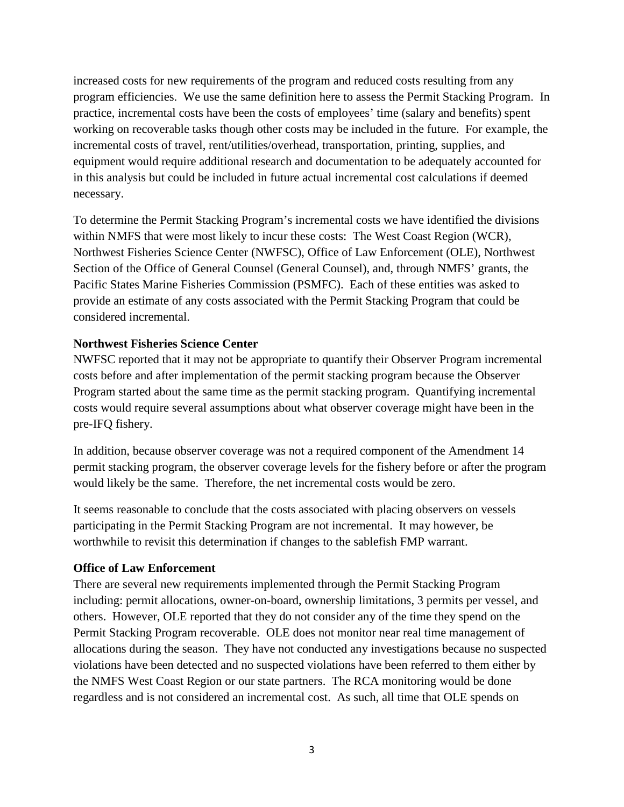increased costs for new requirements of the program and reduced costs resulting from any program efficiencies. We use the same definition here to assess the Permit Stacking Program. In practice, incremental costs have been the costs of employees' time (salary and benefits) spent working on recoverable tasks though other costs may be included in the future. For example, the incremental costs of travel, rent/utilities/overhead, transportation, printing, supplies, and equipment would require additional research and documentation to be adequately accounted for in this analysis but could be included in future actual incremental cost calculations if deemed necessary.

To determine the Permit Stacking Program's incremental costs we have identified the divisions within NMFS that were most likely to incur these costs: The West Coast Region (WCR), Northwest Fisheries Science Center (NWFSC), Office of Law Enforcement (OLE), Northwest Section of the Office of General Counsel (General Counsel), and, through NMFS' grants, the Pacific States Marine Fisheries Commission (PSMFC). Each of these entities was asked to provide an estimate of any costs associated with the Permit Stacking Program that could be considered incremental.

## **Northwest Fisheries Science Center**

NWFSC reported that it may not be appropriate to quantify their Observer Program incremental costs before and after implementation of the permit stacking program because the Observer Program started about the same time as the permit stacking program. Quantifying incremental costs would require several assumptions about what observer coverage might have been in the pre-IFQ fishery.

In addition, because observer coverage was not a required component of the Amendment 14 permit stacking program, the observer coverage levels for the fishery before or after the program would likely be the same. Therefore, the net incremental costs would be zero.

It seems reasonable to conclude that the costs associated with placing observers on vessels participating in the Permit Stacking Program are not incremental. It may however, be worthwhile to revisit this determination if changes to the sablefish FMP warrant.

#### **Office of Law Enforcement**

There are several new requirements implemented through the Permit Stacking Program including: permit allocations, owner-on-board, ownership limitations, 3 permits per vessel, and others. However, OLE reported that they do not consider any of the time they spend on the Permit Stacking Program recoverable. OLE does not monitor near real time management of allocations during the season. They have not conducted any investigations because no suspected violations have been detected and no suspected violations have been referred to them either by the NMFS West Coast Region or our state partners. The RCA monitoring would be done regardless and is not considered an incremental cost. As such, all time that OLE spends on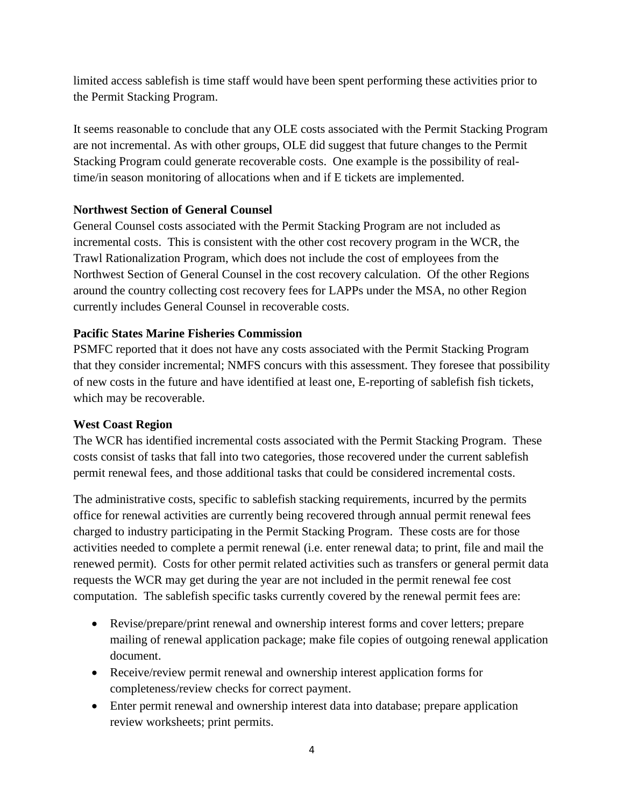limited access sablefish is time staff would have been spent performing these activities prior to the Permit Stacking Program.

It seems reasonable to conclude that any OLE costs associated with the Permit Stacking Program are not incremental. As with other groups, OLE did suggest that future changes to the Permit Stacking Program could generate recoverable costs. One example is the possibility of realtime/in season monitoring of allocations when and if E tickets are implemented.

# **Northwest Section of General Counsel**

General Counsel costs associated with the Permit Stacking Program are not included as incremental costs. This is consistent with the other cost recovery program in the WCR, the Trawl Rationalization Program, which does not include the cost of employees from the Northwest Section of General Counsel in the cost recovery calculation. Of the other Regions around the country collecting cost recovery fees for LAPPs under the MSA, no other Region currently includes General Counsel in recoverable costs.

## **Pacific States Marine Fisheries Commission**

PSMFC reported that it does not have any costs associated with the Permit Stacking Program that they consider incremental; NMFS concurs with this assessment. They foresee that possibility of new costs in the future and have identified at least one, E-reporting of sablefish fish tickets, which may be recoverable.

## **West Coast Region**

The WCR has identified incremental costs associated with the Permit Stacking Program. These costs consist of tasks that fall into two categories, those recovered under the current sablefish permit renewal fees, and those additional tasks that could be considered incremental costs.

The administrative costs, specific to sablefish stacking requirements, incurred by the permits office for renewal activities are currently being recovered through annual permit renewal fees charged to industry participating in the Permit Stacking Program. These costs are for those activities needed to complete a permit renewal (i.e. enter renewal data; to print, file and mail the renewed permit). Costs for other permit related activities such as transfers or general permit data requests the WCR may get during the year are not included in the permit renewal fee cost computation. The sablefish specific tasks currently covered by the renewal permit fees are:

- Revise/prepare/print renewal and ownership interest forms and cover letters; prepare mailing of renewal application package; make file copies of outgoing renewal application document.
- Receive/review permit renewal and ownership interest application forms for completeness/review checks for correct payment.
- Enter permit renewal and ownership interest data into database; prepare application review worksheets; print permits.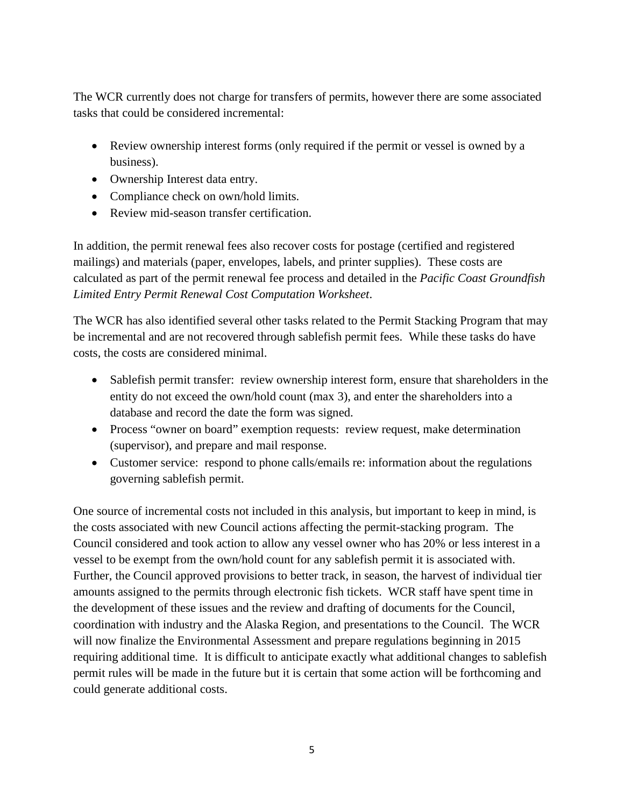The WCR currently does not charge for transfers of permits, however there are some associated tasks that could be considered incremental:

- Review ownership interest forms (only required if the permit or vessel is owned by a business).
- Ownership Interest data entry.
- Compliance check on own/hold limits.
- Review mid-season transfer certification.

In addition, the permit renewal fees also recover costs for postage (certified and registered mailings) and materials (paper, envelopes, labels, and printer supplies). These costs are calculated as part of the permit renewal fee process and detailed in the *Pacific Coast Groundfish Limited Entry Permit Renewal Cost Computation Worksheet*.

The WCR has also identified several other tasks related to the Permit Stacking Program that may be incremental and are not recovered through sablefish permit fees. While these tasks do have costs, the costs are considered minimal.

- Sablefish permit transfer: review ownership interest form, ensure that shareholders in the entity do not exceed the own/hold count (max 3), and enter the shareholders into a database and record the date the form was signed.
- Process "owner on board" exemption requests: review request, make determination (supervisor), and prepare and mail response.
- Customer service: respond to phone calls/emails re: information about the regulations governing sablefish permit.

One source of incremental costs not included in this analysis, but important to keep in mind, is the costs associated with new Council actions affecting the permit-stacking program. The Council considered and took action to allow any vessel owner who has 20% or less interest in a vessel to be exempt from the own/hold count for any sablefish permit it is associated with. Further, the Council approved provisions to better track, in season, the harvest of individual tier amounts assigned to the permits through electronic fish tickets. WCR staff have spent time in the development of these issues and the review and drafting of documents for the Council, coordination with industry and the Alaska Region, and presentations to the Council. The WCR will now finalize the Environmental Assessment and prepare regulations beginning in 2015 requiring additional time. It is difficult to anticipate exactly what additional changes to sablefish permit rules will be made in the future but it is certain that some action will be forthcoming and could generate additional costs.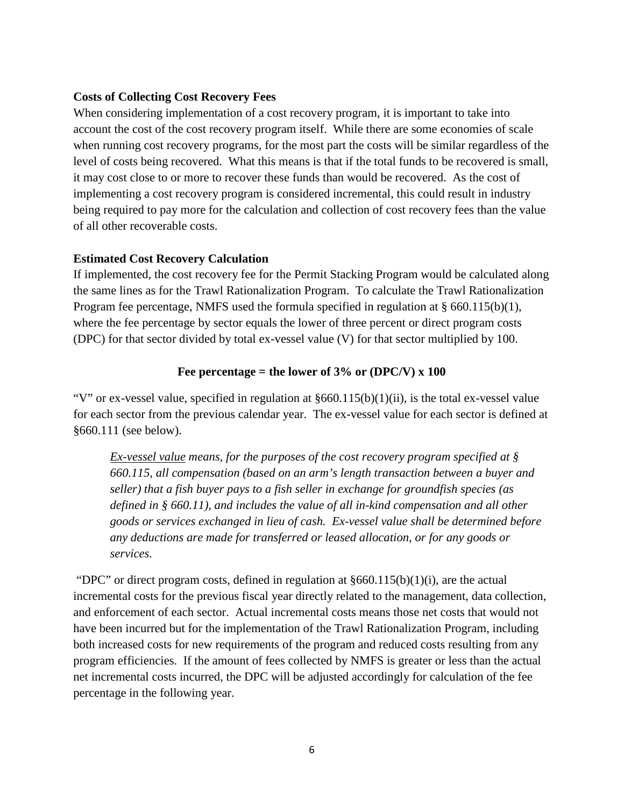## **Costs of Collecting Cost Recovery Fees**

When considering implementation of a cost recovery program, it is important to take into account the cost of the cost recovery program itself. While there are some economies of scale when running cost recovery programs, for the most part the costs will be similar regardless of the level of costs being recovered. What this means is that if the total funds to be recovered is small, it may cost close to or more to recover these funds than would be recovered. As the cost of implementing a cost recovery program is considered incremental, this could result in industry being required to pay more for the calculation and collection of cost recovery fees than the value of all other recoverable costs.

## **Estimated Cost Recovery Calculation**

If implemented, the cost recovery fee for the Permit Stacking Program would be calculated along the same lines as for the Trawl Rationalization Program. To calculate the Trawl Rationalization Program fee percentage, NMFS used the formula specified in regulation at  $\S$  660.115(b)(1), where the fee percentage by sector equals the lower of three percent or direct program costs (DPC) for that sector divided by total ex-vessel value (V) for that sector multiplied by 100.

## **Fee percentage = the lower of 3% or (DPC/V) x 100**

"V" or ex-vessel value, specified in regulation at §660.115(b)(1)(ii), is the total ex-vessel value for each sector from the previous calendar year. The ex-vessel value for each sector is defined at §660.111 (see below).

*Ex-vessel value means, for the purposes of the cost recovery program specified at § 660.115, all compensation (based on an arm's length transaction between a buyer and seller) that a fish buyer pays to a fish seller in exchange for groundfish species (as defined in § 660.11), and includes the value of all in-kind compensation and all other goods or services exchanged in lieu of cash. Ex-vessel value shall be determined before any deductions are made for transferred or leased allocation, or for any goods or services.*

"DPC" or direct program costs, defined in regulation at  $§660.115(b)(1)(i)$ , are the actual incremental costs for the previous fiscal year directly related to the management, data collection, and enforcement of each sector. Actual incremental costs means those net costs that would not have been incurred but for the implementation of the Trawl Rationalization Program, including both increased costs for new requirements of the program and reduced costs resulting from any program efficiencies. If the amount of fees collected by NMFS is greater or less than the actual net incremental costs incurred, the DPC will be adjusted accordingly for calculation of the fee percentage in the following year.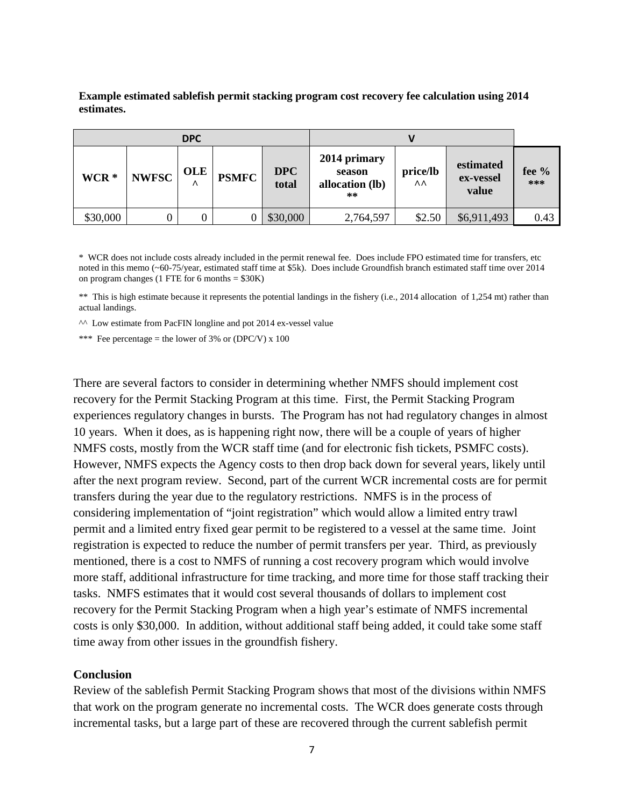**Example estimated sablefish permit stacking program cost recovery fee calculation using 2014 estimates.**

| <b>DPC</b> |              |                         |              |                     |                                                   |                |                                 |                |
|------------|--------------|-------------------------|--------------|---------------------|---------------------------------------------------|----------------|---------------------------------|----------------|
| WCR *      | <b>NWFSC</b> | <b>OLE</b><br>$\lambda$ | <b>PSMFC</b> | <b>DPC</b><br>total | 2014 primary<br>season<br>allocation (lb)<br>$**$ | price/lb<br>^^ | estimated<br>ex-vessel<br>value | fee $%$<br>*** |
| \$30,000   |              | 0                       |              | \$30,000            | 2,764,597                                         | \$2.50         | \$6,911,493                     | 0.43           |

\* WCR does not include costs already included in the permit renewal fee. Does include FPO estimated time for transfers, etc noted in this memo (~60-75/year, estimated staff time at \$5k). Does include Groundfish branch estimated staff time over 2014 on program changes (1 FTE for 6 months  $= $30K$ )

\*\* This is high estimate because it represents the potential landings in the fishery (i.e., 2014 allocation of 1,254 mt) rather than actual landings.

^^ Low estimate from PacFIN longline and pot 2014 ex-vessel value

\*\*\* Fee percentage = the lower of 3% or (DPC/V) x 100

There are several factors to consider in determining whether NMFS should implement cost recovery for the Permit Stacking Program at this time. First, the Permit Stacking Program experiences regulatory changes in bursts. The Program has not had regulatory changes in almost 10 years. When it does, as is happening right now, there will be a couple of years of higher NMFS costs, mostly from the WCR staff time (and for electronic fish tickets, PSMFC costs). However, NMFS expects the Agency costs to then drop back down for several years, likely until after the next program review. Second, part of the current WCR incremental costs are for permit transfers during the year due to the regulatory restrictions. NMFS is in the process of considering implementation of "joint registration" which would allow a limited entry trawl permit and a limited entry fixed gear permit to be registered to a vessel at the same time. Joint registration is expected to reduce the number of permit transfers per year. Third, as previously mentioned, there is a cost to NMFS of running a cost recovery program which would involve more staff, additional infrastructure for time tracking, and more time for those staff tracking their tasks. NMFS estimates that it would cost several thousands of dollars to implement cost recovery for the Permit Stacking Program when a high year's estimate of NMFS incremental costs is only \$30,000. In addition, without additional staff being added, it could take some staff time away from other issues in the groundfish fishery.

#### **Conclusion**

Review of the sablefish Permit Stacking Program shows that most of the divisions within NMFS that work on the program generate no incremental costs. The WCR does generate costs through incremental tasks, but a large part of these are recovered through the current sablefish permit